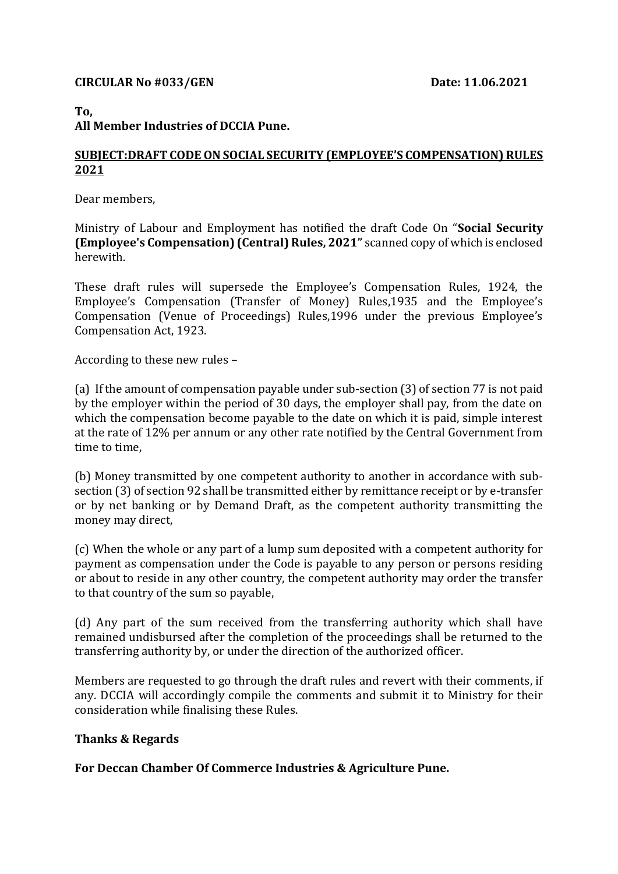### **CIRCULAR No #033/GEN Date: 11.06.2021**

# **To,**

## **All Member Industries of DCCIA Pune.**

### **SUBJECT:DRAFT CODE ON SOCIAL SECURITY (EMPLOYEE'S COMPENSATION) RULES 2021**

Dear members,

Ministry of Labour and Employment has notified the draft Code On "**Social Security (Employee's Compensation) (Central) Rules, 2021"** scanned copy of which is enclosed herewith.

These draft rules will supersede the Employee's Compensation Rules, 1924, the Employee's Compensation (Transfer of Money) Rules,1935 and the Employee's Compensation (Venue of Proceedings) Rules,1996 under the previous Employee's Compensation Act, 1923.

According to these new rules –

(a) If the amount of compensation payable under sub-section (3) of section 77 is not paid by the employer within the period of 30 days, the employer shall pay, from the date on which the compensation become payable to the date on which it is paid, simple interest at the rate of 12% per annum or any other rate notified by the Central Government from time to time,

(b) Money transmitted by one competent authority to another in accordance with subsection (3) of section 92 shall be transmitted either by remittance receipt or by e-transfer or by net banking or by Demand Draft, as the competent authority transmitting the money may direct,

(c) When the whole or any part of a lump sum deposited with a competent authority for payment as compensation under the Code is payable to any person or persons residing or about to reside in any other country, the competent authority may order the transfer to that country of the sum so payable,

(d) Any part of the sum received from the transferring authority which shall have remained undisbursed after the completion of the proceedings shall be returned to the transferring authority by, or under the direction of the authorized officer.

Members are requested to go through the draft rules and revert with their comments, if any. DCCIA will accordingly compile the comments and submit it to Ministry for their consideration while finalising these Rules.

### **Thanks & Regards**

**For Deccan Chamber Of Commerce Industries & Agriculture Pune.**